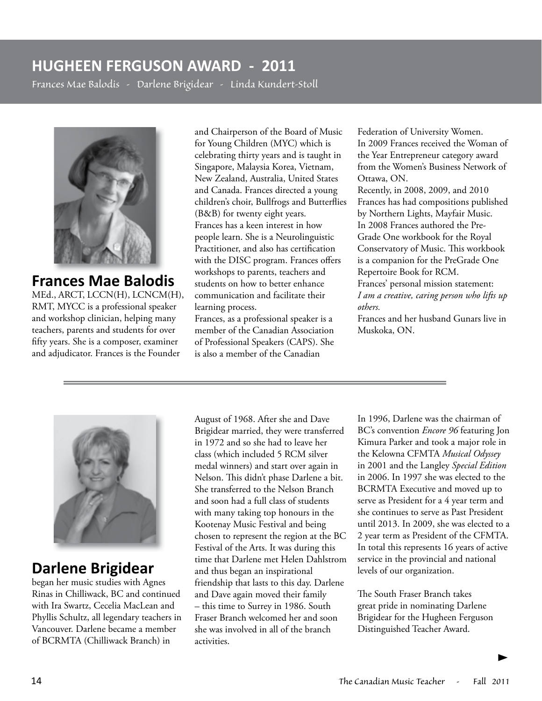### **HUGHEEN FERGUSON AWARD - 2011**

*Frances Mae Balodis - Darlene Brigidear - Linda Kundert-Stoll* 



# **Frances Mae Balodis**

MEd., ARCT, LCCN(H), LCNCM(H), RMT, MYCC is a professional speaker and workshop clinician, helping many teachers, parents and students for over fifty years. She is a composer, examiner and adjudicator. Frances is the Founder

and Chairperson of the Board of Music for Young Children (MYC) which is celebrating thirty years and is taught in Singapore, Malaysia Korea, Vietnam, New Zealand, Australia, United States and Canada. Frances directed a young children's choir, Bullfrogs and Butterflies (B&B) for twenty eight years. Frances has a keen interest in how people learn. She is a Neurolinguistic Practitioner, and also has certification with the DISC program. Frances offers workshops to parents, teachers and students on how to better enhance communication and facilitate their learning process.

Frances, as a professional speaker is a member of the Canadian Association of Professional Speakers (CAPS). She is also a member of the Canadian

Federation of University Women. In 2009 Frances received the Woman of the Year Entrepreneur category award from the Women's Business Network of Ottawa, ON. Recently, in 2008, 2009, and 2010 Frances has had compositions published by Northern Lights, Mayfair Music. In 2008 Frances authored the Pre-Grade One workbook for the Royal Conservatory of Music. This workbook is a companion for the PreGrade One Repertoire Book for RCM. Frances' personal mission statement: *I am a creative, caring person who lifts up others.*

Frances and her husband Gunars live in Muskoka, ON.



#### **Darlene Brigidear**

began her music studies with Agnes Rinas in Chilliwack, BC and continued with Ira Swartz, Cecelia MacLean and Phyllis Schultz, all legendary teachers in Vancouver. Darlene became a member of BCRMTA (Chilliwack Branch) in

August of 1968. After she and Dave Brigidear married, they were transferred in 1972 and so she had to leave her class (which included 5 RCM silver medal winners) and start over again in Nelson. This didn't phase Darlene a bit. She transferred to the Nelson Branch and soon had a full class of students with many taking top honours in the Kootenay Music Festival and being chosen to represent the region at the BC Festival of the Arts. It was during this time that Darlene met Helen Dahlstrom and thus began an inspirational friendship that lasts to this day. Darlene and Dave again moved their family – this time to Surrey in 1986. South Fraser Branch welcomed her and soon she was involved in all of the branch activities.

In 1996, Darlene was the chairman of BC's convention *Encore 96* featuring Jon Kimura Parker and took a major role in the Kelowna CFMTA *Musical Odyssey* in 2001 and the Langley *Special Edition*  in 2006. In 1997 she was elected to the BCRMTA Executive and moved up to serve as President for a 4 year term and she continues to serve as Past President until 2013. In 2009, she was elected to a 2 year term as President of the CFMTA. In total this represents 16 years of active service in the provincial and national levels of our organization.

The South Fraser Branch takes great pride in nominating Darlene Brigidear for the Hugheen Ferguson Distinguished Teacher Award.